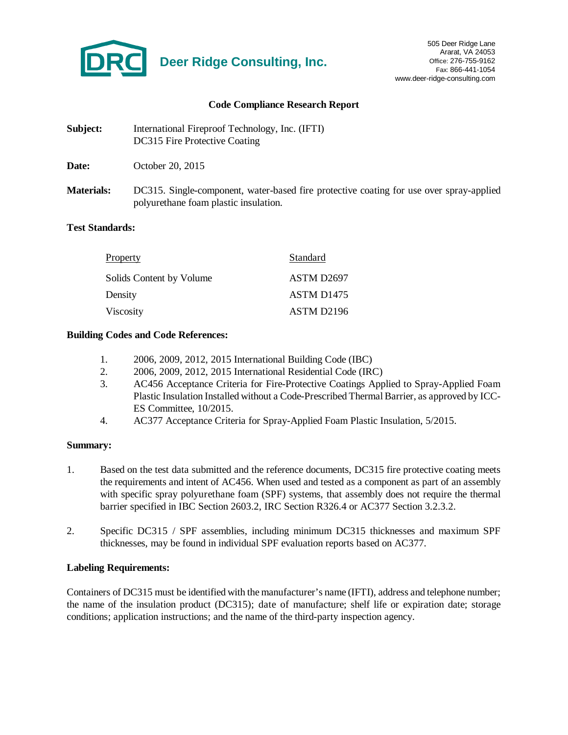

#### **Code Compliance Research Report**

| Subject:          | International Fireproof Technology, Inc. (IFTI)<br>DC315 Fire Protective Coating                                                 |
|-------------------|----------------------------------------------------------------------------------------------------------------------------------|
| Date:             | October 20, 2015                                                                                                                 |
| <b>Materials:</b> | DC315. Single-component, water-based fire protective coating for use over spray-applied<br>polyurethane foam plastic insulation. |

### **Test Standards:**

| Property                 | Standard               |
|--------------------------|------------------------|
| Solids Content by Volume | ASTM D2697             |
| Density                  | ASTM D <sub>1475</sub> |
| Viscosity                | ASTM D <sub>2196</sub> |

### **Building Codes and Code References:**

- 1. 2006, 2009, 2012, 2015 International Building Code (IBC)
- 2. 2006, 2009, 2012, 2015 International Residential Code (IRC)
- 3. AC456 Acceptance Criteria for Fire-Protective Coatings Applied to Spray-Applied Foam Plastic Insulation Installed without a Code-Prescribed Thermal Barrier, as approved by ICC-ES Committee, 10/2015.
- 4. AC377 Acceptance Criteria for Spray-Applied Foam Plastic Insulation, 5/2015.

#### **Summary:**

- 1. Based on the test data submitted and the reference documents, DC315 fire protective coating meets the requirements and intent of AC456. When used and tested as a component as part of an assembly with specific spray polyurethane foam (SPF) systems, that assembly does not require the thermal barrier specified in IBC Section 2603.2, IRC Section R326.4 or AC377 Section 3.2.3.2.
- 2. Specific DC315 / SPF assemblies, including minimum DC315 thicknesses and maximum SPF thicknesses, may be found in individual SPF evaluation reports based on AC377.

# **Labeling Requirements:**

Containers of DC315 must be identified with the manufacturer's name (IFTI), address and telephone number; the name of the insulation product (DC315); date of manufacture; shelf life or expiration date; storage conditions; application instructions; and the name of the third-party inspection agency.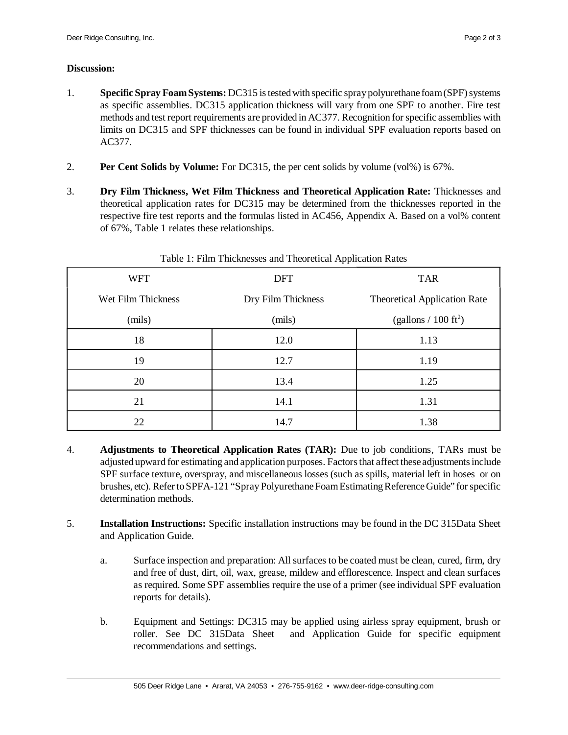# **Discussion:**

- 1. **Specific Spray Foam Systems:** DC315 is tested with specific spray polyurethane foam (SPF) systems as specific assemblies. DC315 application thickness will vary from one SPF to another. Fire test methods and test report requirements are provided in AC377. Recognition for specific assemblies with limits on DC315 and SPF thicknesses can be found in individual SPF evaluation reports based on AC377.
- 2. **Per Cent Solids by Volume:** For DC315, the per cent solids by volume (vol%) is 67%.
- 3. **Dry Film Thickness, Wet Film Thickness and Theoretical Application Rate:** Thicknesses and theoretical application rates for DC315 may be determined from the thicknesses reported in the respective fire test reports and the formulas listed in AC456, Appendix A. Based on a vol% content of 67%, Table 1 relates these relationships.

|                    | - -                |                                     |  |
|--------------------|--------------------|-------------------------------------|--|
| <b>WFT</b>         | <b>DFT</b>         | <b>TAR</b>                          |  |
| Wet Film Thickness | Dry Film Thickness | <b>Theoretical Application Rate</b> |  |
| (mils)             | (mils)             | (gallons $/ 100 \text{ ft}^2$ )     |  |
| 18                 | 12.0               | 1.13                                |  |
| 19                 | 12.7               | 1.19                                |  |
| 20                 | 13.4               | 1.25                                |  |
| 21                 | 14.1               | 1.31                                |  |
| 22                 | 14.7               | 1.38                                |  |

Table 1: Film Thicknesses and Theoretical Application Rates

- 4. **Adjustments to Theoretical Application Rates (TAR):** Due to job conditions, TARs must be adjusted upward for estimating and application purposes. Factors that affect these adjustments include SPF surface texture, overspray, and miscellaneous losses (such as spills, material left in hoses or on brushes, etc). Refer to SPFA-121 "Spray Polyurethane Foam Estimating Reference Guide" for specific determination methods.
- 5. **Installation Instructions:** Specific installation instructions may be found in the DC 315Data Sheet and Application Guide.
	- a. Surface inspection and preparation: All surfaces to be coated must be clean, cured, firm, dry and free of dust, dirt, oil, wax, grease, mildew and efflorescence. Inspect and clean surfaces as required. Some SPF assemblies require the use of a primer (see individual SPF evaluation reports for details).
	- b. Equipment and Settings: DC315 may be applied using airless spray equipment, brush or roller. See DC 315Data Sheet and Application Guide for specific equipment recommendations and settings.